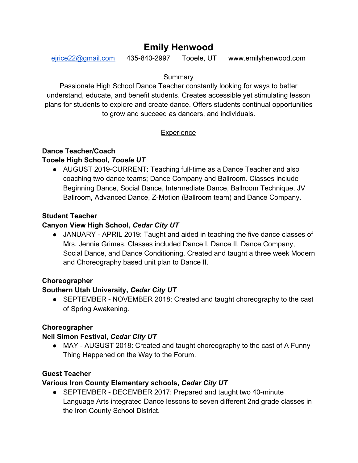# **Emily Henwood**

[ejrice22@gmail.com](mailto:ejrice22@gmail.com) 435-840-2997 Tooele, UT www.emilyhenwood.com

#### **Summary**

Passionate High School Dance Teacher constantly looking for ways to better understand, educate, and benefit students. Creates accessible yet stimulating lesson plans for students to explore and create dance. Offers students continual opportunities to grow and succeed as dancers, and individuals.

# **Experience**

## **Dance Teacher/Coach**

## **Tooele High School,** *Tooele UT*

• AUGUST 2019-CURRENT: Teaching full-time as a Dance Teacher and also coaching two dance teams; Dance Company and Ballroom. Classes include Beginning Dance, Social Dance, Intermediate Dance, Ballroom Technique, JV Ballroom, Advanced Dance, Z-Motion (Ballroom team) and Dance Company.

## **Student Teacher**

# **Canyon View High School,** *Cedar City UT*

● JANUARY - APRIL 2019: Taught and aided in teaching the five dance classes of Mrs. Jennie Grimes. Classes included Dance I, Dance II, Dance Company, Social Dance, and Dance Conditioning. Created and taught a three week Modern and Choreography based unit plan to Dance II.

## **Choreographer**

# **Southern Utah University,** *Cedar City UT*

● SEPTEMBER - NOVEMBER 2018: Created and taught choreography to the cast of Spring Awakening.

## **Choreographer**

## **Neil Simon Festival,** *Cedar City UT*

• MAY - AUGUST 2018: Created and taught choreography to the cast of A Funny Thing Happened on the Way to the Forum.

# **Guest Teacher**

## **Various Iron County Elementary schools,** *Cedar City UT*

● SEPTEMBER - DECEMBER 2017: Prepared and taught two 40-minute Language Arts integrated Dance lessons to seven different 2nd grade classes in the Iron County School District.